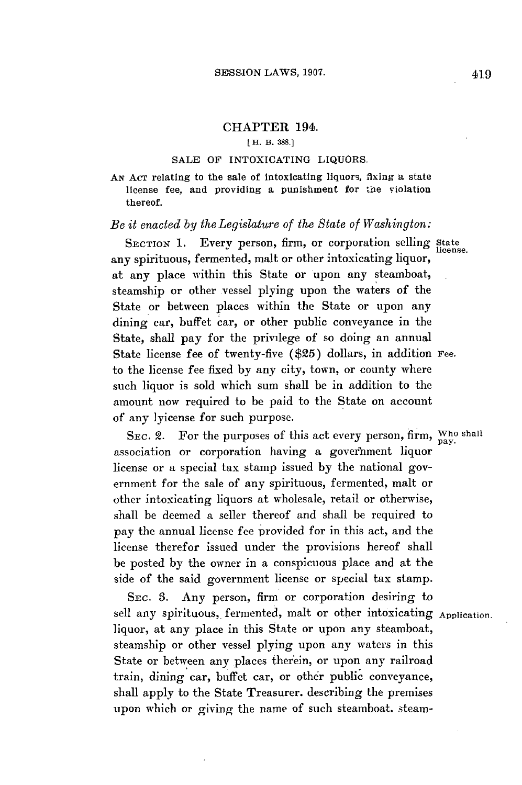# CHAPTER 194.

#### L **H. B. 388.1**

### **SALE** OF INTOXICATING LIQUORS.

*AN* **ACT** relating to the sale of intoxicating liquors, fixing a state license fee, and providing a punishment for the violation thereof.

# *Be it enacted by theLegislature of the State of Washington:*

**SECTION 1.** Every person, *firm,* or corporation selling **State license.** any spirituous, fermented, malt or other intoxicating liquor, at any place within this State or upon any steamboat, steamship or other vessel plying upon the waters of the State or between places within the State or upon any dining car, buffet car, or other public conveyance in the State, shall pay for the privilege of so doing an annual State license fee of twenty-five **(\$25)** dollars, in addition **Fee.** to the license fee fixed **by** any city, town, or county where such liquor is sold which sum shall be in addition to the amount now required to be paid to the State on account of any lyicense for such purpose.

SEC. 2. For the purposes of this act every person, firm, Who shall association or corporation having a government liquor license or a special tax stamp issued **by** the national government for the sale of any spirituous, fermented, malt or other intoxicating liquors at wholesale, retail or otherwise, shall be deemed a seller thereof and shall be required to pay the annual license fee provided for in this act, and the license therefor issued under the provisions hereof shall be posted **by** the owner in a conspicuous place and at the side of the said government license or special tax stamp.

SEC. **3.** Any person, firm or corporation desiring to sell any spirituous, fermented, malt or other intoxicating Application. liquor, at any place in this State or upon any steamboat, steamship or other vessel plying upon any waters in this State or between any places therein, or upon any railroad train, dining car, buffet car, or other public conveyance, shall apply to the State Treasurer. describing the premises upon which or giving the name of such steamboat. steam-